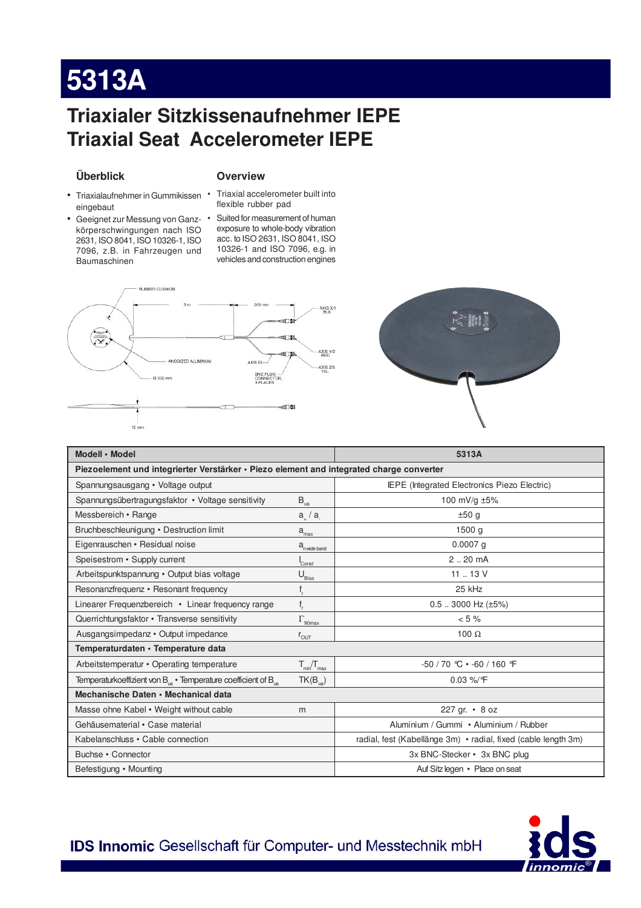# 5313A

### **Triaxialer Sitzkissenaufnehmer IEPE Triaxial Seat Accelerometer IEPE**

### Überblick

### **Overview**

- eingebaut
- körperschwingungen nach ISO 2631, ISO 8041, ISO 10326-1, ISO 7096, z.B. in Fahrzeugen und Baumaschinen

#### · Triaxialaufnehmer in Gummikissen · Triaxial accelerometer built into flexible rubber pad

• Geeignet zur Messung von Ganz- • Suited for measurement of human exposure to whole-body vibration acc. to ISO 2631, ISO 8041, ISO 10326-1 and ISO 7096, e.g. in vehicles and construction engines





| Modell · Model                                                                           |                                              | 5313A                                                          |  |  |
|------------------------------------------------------------------------------------------|----------------------------------------------|----------------------------------------------------------------|--|--|
| Piezoelement und integrierter Verstärker · Piezo element and integrated charge converter |                                              |                                                                |  |  |
| Spannungsausgang • Voltage output                                                        |                                              | <b>IEPE</b> (Integrated Electronics Piezo Electric)            |  |  |
| Spannungsübertragungsfaktor • Voltage sensitivity                                        | $\mathsf{B}_{\rm ua}$                        | 100 mV/g $\pm 5\%$                                             |  |  |
| Messbereich • Range                                                                      | $a_{\mu}$ / $a_{\mu}$                        | ±50q                                                           |  |  |
| Bruchbeschleunigung • Destruction limit                                                  | $a_{\underline{max}}$                        | 1500 <sub>g</sub>                                              |  |  |
| Eigenrauschen • Residual noise                                                           | $a_{\text{n wide band}}$                     | $0.0007$ a                                                     |  |  |
| Speisestrom • Supply current                                                             | Const                                        | $2.20 \text{ mA}$                                              |  |  |
| Arbeitspunktspannung · Output bias voltage                                               | $\mathsf{U}_{\underline{\mathsf{Bias}}}$     | 11  13 V                                                       |  |  |
| Resonanzfrequenz · Resonant frequency                                                    | $\mathsf{f}_{\scriptscriptstyle \mathsf{r}}$ | 25 kHz                                                         |  |  |
| Linearer Frequenzbereich • Linear frequency range                                        | $\mathsf{f}_{\mathsf{r}}$                    | $0.5$ 3000 Hz ( $\pm$ 5%)                                      |  |  |
| Querrichtungsfaktor • Transverse sensitivity                                             | $\Gamma_{\text{90max}}$                      | $< 5 \%$                                                       |  |  |
| Ausgangsimpedanz • Output impedance                                                      | $r_{\text{OUT}}$                             | 100 $\Omega$                                                   |  |  |
| Temperaturdaten · Temperature data                                                       |                                              |                                                                |  |  |
| Arbeitstemperatur • Operating temperature                                                | $T_{min}/T_{max}$                            | $-50/70$ °C $\cdot$ -60/160 °F                                 |  |  |
| Temperaturkoeffizient von $B_{1a}$ • Temperature coefficient of $B_{1a}$                 | $TK(B_{\mu a})$                              | $0.03\%$ /°F                                                   |  |  |
| Mechanische Daten • Mechanical data                                                      |                                              |                                                                |  |  |
| Masse ohne Kabel • Weight without cable                                                  | m                                            | 227 gr. • 8 oz                                                 |  |  |
| Gehäusematerial • Case material                                                          |                                              | Aluminium / Gummi · Aluminium / Rubber                         |  |  |
| Kabelanschluss • Cable connection                                                        |                                              | radial, fest (Kabellänge 3m) • radial, fixed (cable length 3m) |  |  |
| Buchse • Connector                                                                       |                                              | 3x BNC-Stecker • 3x BNC plug                                   |  |  |
| Befestigung • Mounting                                                                   |                                              | Auf Sitz legen • Place on seat                                 |  |  |